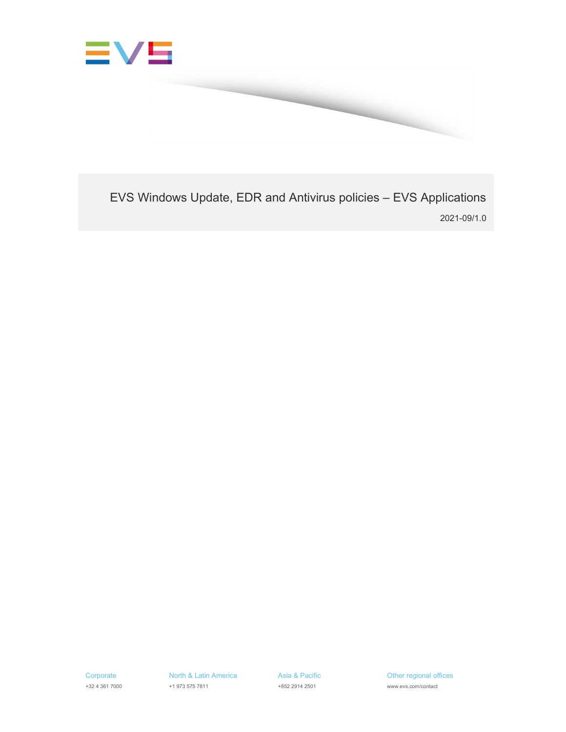

EVS Windows Update, EDR and Antivirus policies – EVS Applications 2021-09/1.0

Asia & Pacific +852 2914 2501

Other regional offices www.evs.com/contact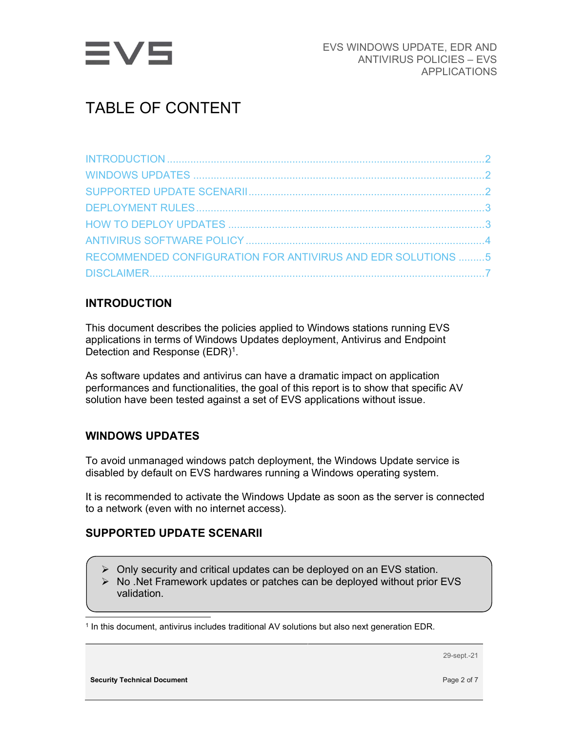

# TABLE OF CONTENT

| RECOMMENDED CONFIGURATION FOR ANTIVIRUS AND EDR SOLUTIONS 5 |  |
|-------------------------------------------------------------|--|
|                                                             |  |

## INTRODUCTION

This document describes the policies applied to Windows stations running EVS applications in terms of Windows Updates deployment, Antivirus and Endpoint Detection and Response  $(EDR)^1$ .

As software updates and antivirus can have a dramatic impact on application performances and functionalities, the goal of this report is to show that specific AV solution have been tested against a set of EVS applications without issue.

## WINDOWS UPDATES

To avoid unmanaged windows patch deployment, the Windows Update service is disabled by default on EVS hardwares running a Windows operating system.

It is recommended to activate the Windows Update as soon as the server is connected to a network (even with no internet access).

#### SUPPORTED UPDATE SCENARII

- $\triangleright$  Only security and critical updates can be deployed on an EVS station.
- $\triangleright$  No . Net Framework updates or patches can be deployed without prior EVS validation.

1 In this document, antivirus includes traditional AV solutions but also next generation EDR.

29-sept.-21

Security Technical Document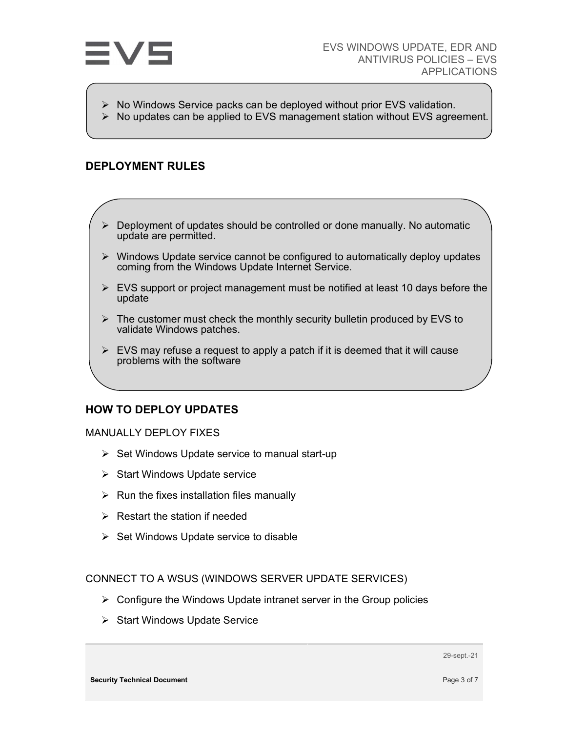

- $\triangleright$  No Windows Service packs can be deployed without prior EVS validation.
- $\triangleright$  No updates can be applied to EVS management station without EVS agreement.

#### DEPLOYMENT RULES

- $\triangleright$  Deployment of updates should be controlled or done manually. No automatic update are permitted.
- $\triangleright$  Windows Update service cannot be configured to automatically deploy updates coming from the Windows Update Internet Service.
- $\triangleright$  EVS support or project management must be notified at least 10 days before the update
- $\triangleright$  The customer must check the monthly security bulletin produced by EVS to validate Windows patches.
- $\triangleright$  EVS may refuse a request to apply a patch if it is deemed that it will cause problems with the software

#### HOW TO DEPLOY UPDATES

#### MANUALLY DEPLOY FIXES

- $\triangleright$  Set Windows Update service to manual start-up
- $\triangleright$  Start Windows Update service
- $\triangleright$  Run the fixes installation files manually
- $\triangleright$  Restart the station if needed
- $\triangleright$  Set Windows Update service to disable

CONNECT TO A WSUS (WINDOWS SERVER UPDATE SERVICES)

- $\triangleright$  Configure the Windows Update intranet server in the Group policies
- $\triangleright$  Start Windows Update Service

29-sept.-21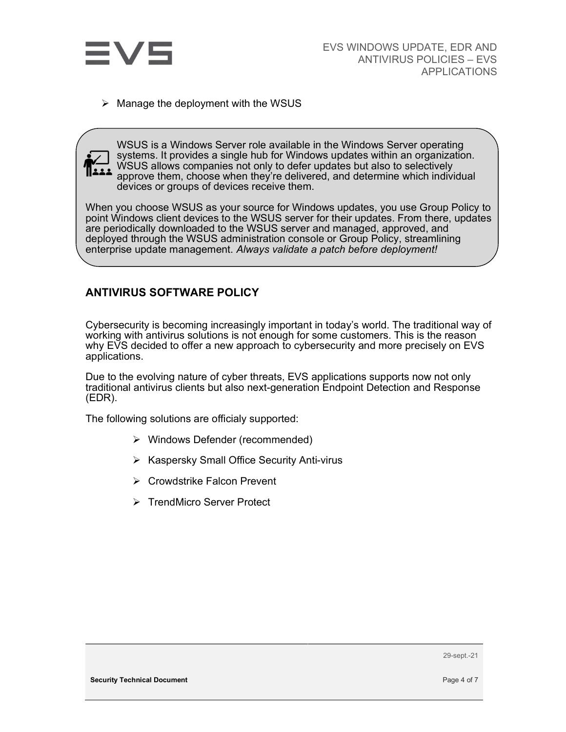

 $\triangleright$  Manage the deployment with the WSUS



WSUS is a Windows Server role available in the Windows Server operating systems. It provides a single hub for Windows updates within an organization. WSUS allows companies not only to defer updates but also to selectively approve them, choose when they're delivered, and determine which individual devices or groups of devices receive them.

When you choose WSUS as your source for Windows updates, you use Group Policy to point Windows client devices to the WSUS server for their updates. From there, updates are periodically downloaded to the WSUS server and managed, approved, and deployed through the WSUS administration console or Group Policy, streamlining enterprise update management. Always validate a patch before deployment!

### ANTIVIRUS SOFTWARE POLICY

Cybersecurity is becoming increasingly important in today's world. The traditional way of working with antivirus solutions is not enough for some customers. This is the reason why EVS decided to offer a new approach to cybersecurity and more precisely on EVS applications.

Due to the evolving nature of cyber threats, EVS applications supports now not only traditional antivirus clients but also next-generation Endpoint Detection and Response (EDR).

The following solutions are officialy supported:

- Windows Defender (recommended)
- $\triangleright$  Kaspersky Small Office Security Anti-virus
- **▶ Crowdstrike Falcon Prevent**
- **▶ TrendMicro Server Protect**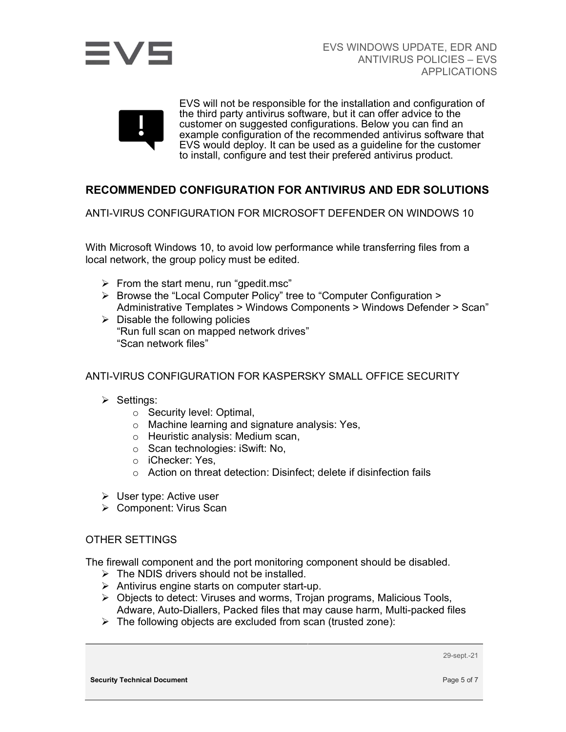



EVS will not be responsible for the installation and configuration of the third party antivirus software, but it can offer advice to the customer on suggested configurations. Below you can find an example configuration of the recommended antivirus software that EVS would deploy. It can be used as a guideline for the customer to install, configure and test their prefered antivirus product.

### RECOMMENDED CONFIGURATION FOR ANTIVIRUS AND EDR SOLUTIONS

ANTI-VIRUS CONFIGURATION FOR MICROSOFT DEFENDER ON WINDOWS 10

With Microsoft Windows 10, to avoid low performance while transferring files from a local network, the group policy must be edited.

- $\triangleright$  From the start menu, run "gpedit.msc"
- ▶ Browse the "Local Computer Policy" tree to "Computer Configuration > Administrative Templates > Windows Components > Windows Defender > Scan"
- $\triangleright$  Disable the following policies "Run full scan on mapped network drives" "Scan network files"

#### ANTI-VIRUS CONFIGURATION FOR KASPERSKY SMALL OFFICE SECURITY

- $\triangleright$  Settings:
	- o Security level: Optimal,
	- o Machine learning and signature analysis: Yes,
	- o Heuristic analysis: Medium scan,
	- o Scan technologies: iSwift: No,
	- o iChecker: Yes,
	- o Action on threat detection: Disinfect; delete if disinfection fails
- User type: Active user
- Component: Virus Scan

#### OTHER SETTINGS

The firewall component and the port monitoring component should be disabled.

- $\triangleright$  The NDIS drivers should not be installed.
- $\triangleright$  Antivirus engine starts on computer start-up.
- $\triangleright$  Objects to detect: Viruses and worms, Trojan programs, Malicious Tools, Adware, Auto-Diallers, Packed files that may cause harm, Multi-packed files
- $\triangleright$  The following objects are excluded from scan (trusted zone):

29-sept.-21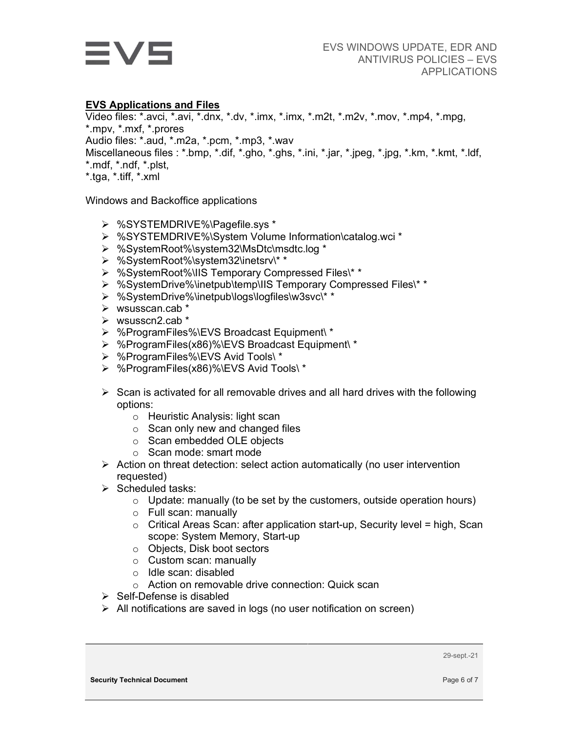

#### EVS Applications and Files

Video files: \*.avci, \*.avi, \*.dnx, \*.dv, \*.imx, \*.imx, \*.m2t, \*.m2v, \*.mov, \*.mp4, \*.mpg, \*.mpv, \*.mxf, \*.prores Audio files: \*.aud, \*.m2a, \*.pcm, \*.mp3, \*.wav Miscellaneous files : \*.bmp, \*.dif, \*.gho, \*.ghs, \*.ini, \*.jar, \*.jpeg, \*.jpg, \*.km, \*.kmt, \*.ldf, \*.mdf, \*.ndf, \*.plst, \*.tga, \*.tiff, \*.xml

Windows and Backoffice applications

- %SYSTEMDRIVE%\Pagefile.sys \*
- %SYSTEMDRIVE%\System Volume Information\catalog.wci \*
- %SystemRoot%\system32\MsDtc\msdtc.log \*
- %SystemRoot%\system32\inetsrv\\* \*
- %SystemRoot%\IIS Temporary Compressed Files\\* \*
- %SystemDrive%\inetpub\temp\IIS Temporary Compressed Files\\* \*
- %SystemDrive%\inetpub\logs\logfiles\w3svc\\* \*
- $\triangleright$  wsusscan.cab  $*$
- $\triangleright$  wsusscn2.cab \*
- %ProgramFiles%\EVS Broadcast Equipment\ \*
- %ProgramFiles(x86)%\EVS Broadcast Equipment\ \*
- %ProgramFiles%\EVS Avid Tools\ \*
- %ProgramFiles(x86)%\EVS Avid Tools\ \*
- $\triangleright$  Scan is activated for all removable drives and all hard drives with the following options:
	- o Heuristic Analysis: light scan
	- $\circ$  Scan only new and changed files
	- o Scan embedded OLE objects
	- o Scan mode: smart mode
- $\triangleright$  Action on threat detection: select action automatically (no user intervention requested)
- $\triangleright$  Scheduled tasks:
	- $\circ$  Update: manually (to be set by the customers, outside operation hours)
	- o Full scan: manually
	- o Critical Areas Scan: after application start-up, Security level = high, Scan scope: System Memory, Start-up
	- o Objects, Disk boot sectors
	- o Custom scan: manually
	- o Idle scan: disabled
	- o Action on removable drive connection: Quick scan
- $\triangleright$  Self-Defense is disabled
- $\triangleright$  All notifications are saved in logs (no user notification on screen)

29-sept.-21